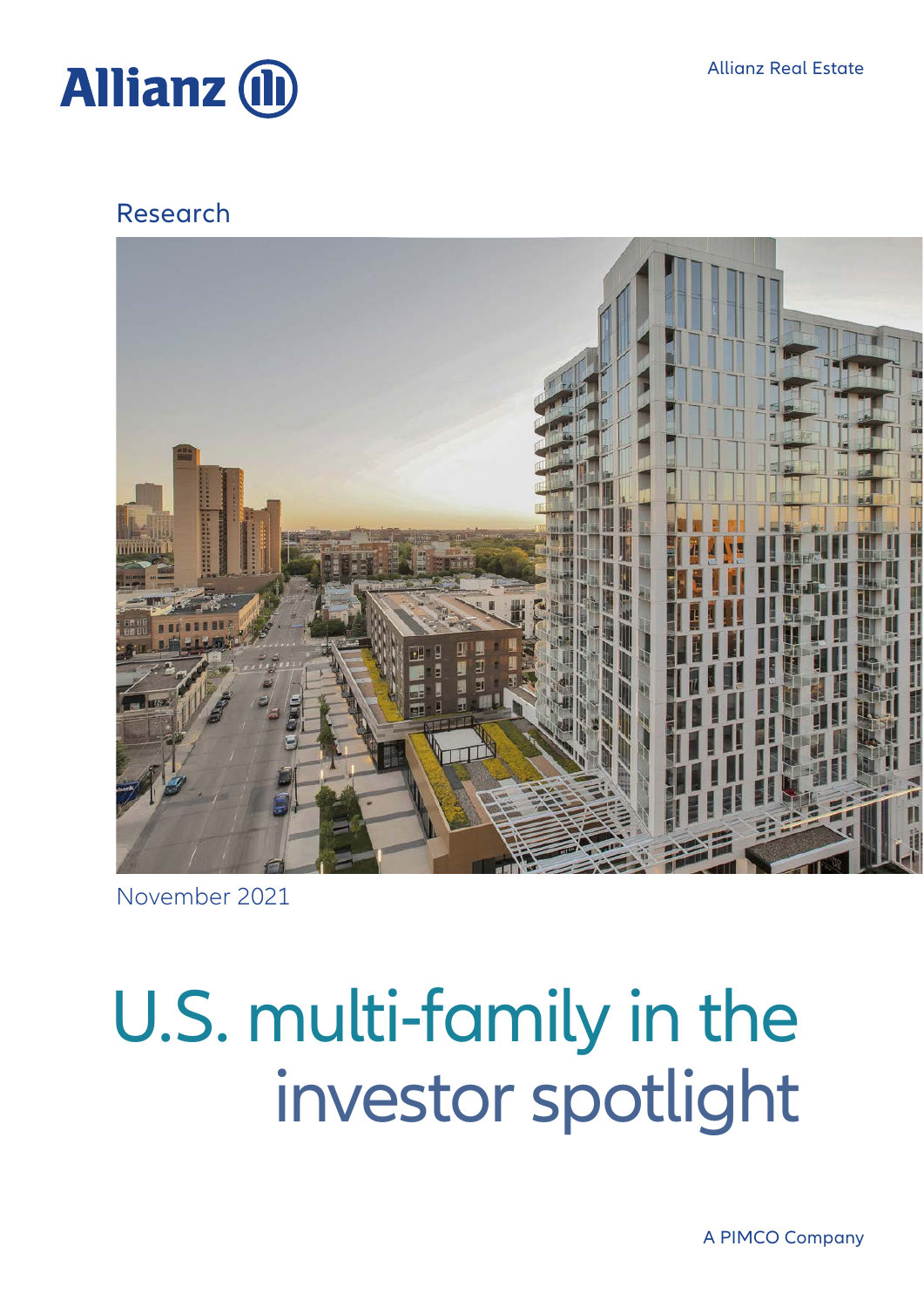



### Research



November 2021

# investor spotlight U.S. multi-family in the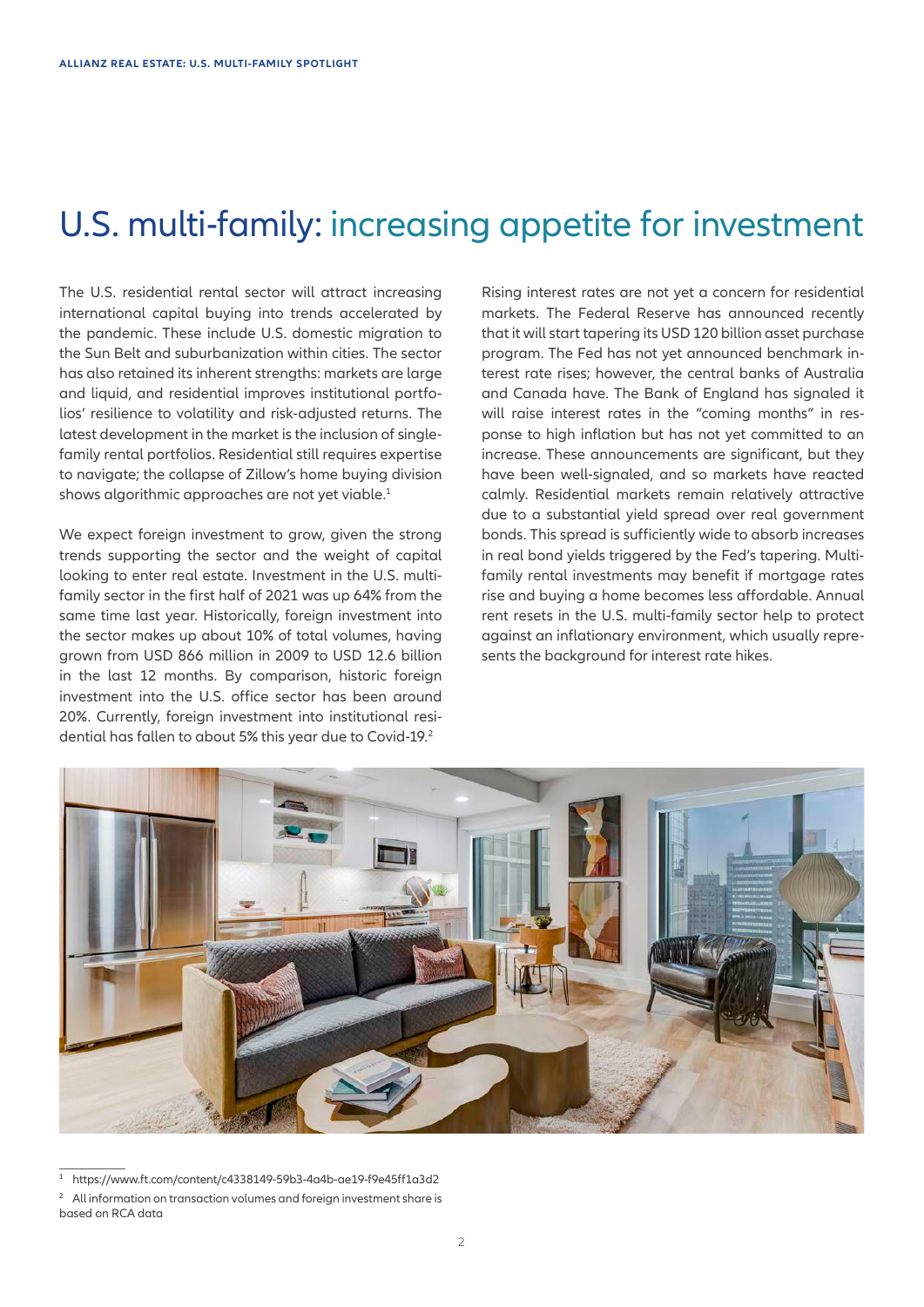# U.S. multi-family: increasing appetite for investment

The U.S. residential rental sector will attract increasing international capital buying into trends accelerated by the pandemic. These include U.S. domestic migration to the Sun Belt and suburbanization within cities. The sector has also retained its inherent strengths: markets are large and liquid, and residential improves institutional portfolios' resilience to volatility and risk-adjusted returns. The latest development in the market is the inclusion of singlefamily rental portfolios. Residential still requires expertise to navigate; the collapse of Zillow's home buying division shows algorithmic approaches are not yet viable.<sup>1</sup>

We expect foreign investment to grow, given the strong trends supporting the sector and the weight of capital looking to enter real estate. Investment in the U.S. multifamily sector in the first half of 2021 was up 64% from the same time last year. Historically, foreign investment into the sector makes up about 10% of total volumes, having grown from USD 866 million in 2009 to USD 12.6 billion in the last 12 months. By comparison, historic foreign investment into the U.S. office sector has been around 20%. Currently, foreign investment into institutional residential has fallen to about 5% this year due to Covid-19.<sup>2</sup>

Rising interest rates are not yet a concern for residential markets. The Federal Reserve has announced recently that it will start tapering its USD 120 billion asset purchase program. The Fed has not yet announced benchmark interest rate rises; however, the central banks of Australia and Canada have. The Bank of England has signaled it will raise interest rates in the "coming months" in response to high inflation but has not yet committed to an increase. These announcements are significant, but they have been well-signaled, and so markets have reacted calmly. Residential markets remain relatively attractive due to a substantial yield spread over real government bonds. This spread is sufficiently wide to absorb increases in real bond yields triggered by the Fed's tapering. Multifamily rental investments may benefit if mortgage rates rise and buying a home becomes less affordable. Annual rent resets in the U.S. multi-family sector help to protect against an inflationary environment, which usually represents the background for interest rate hikes.



<sup>1</sup> https://www.ft.com/content/c4338149-59b3-4a4b-ae19-f9e45ff1a3d2

All information on transaction volumes and foreign investment share is based on RCA data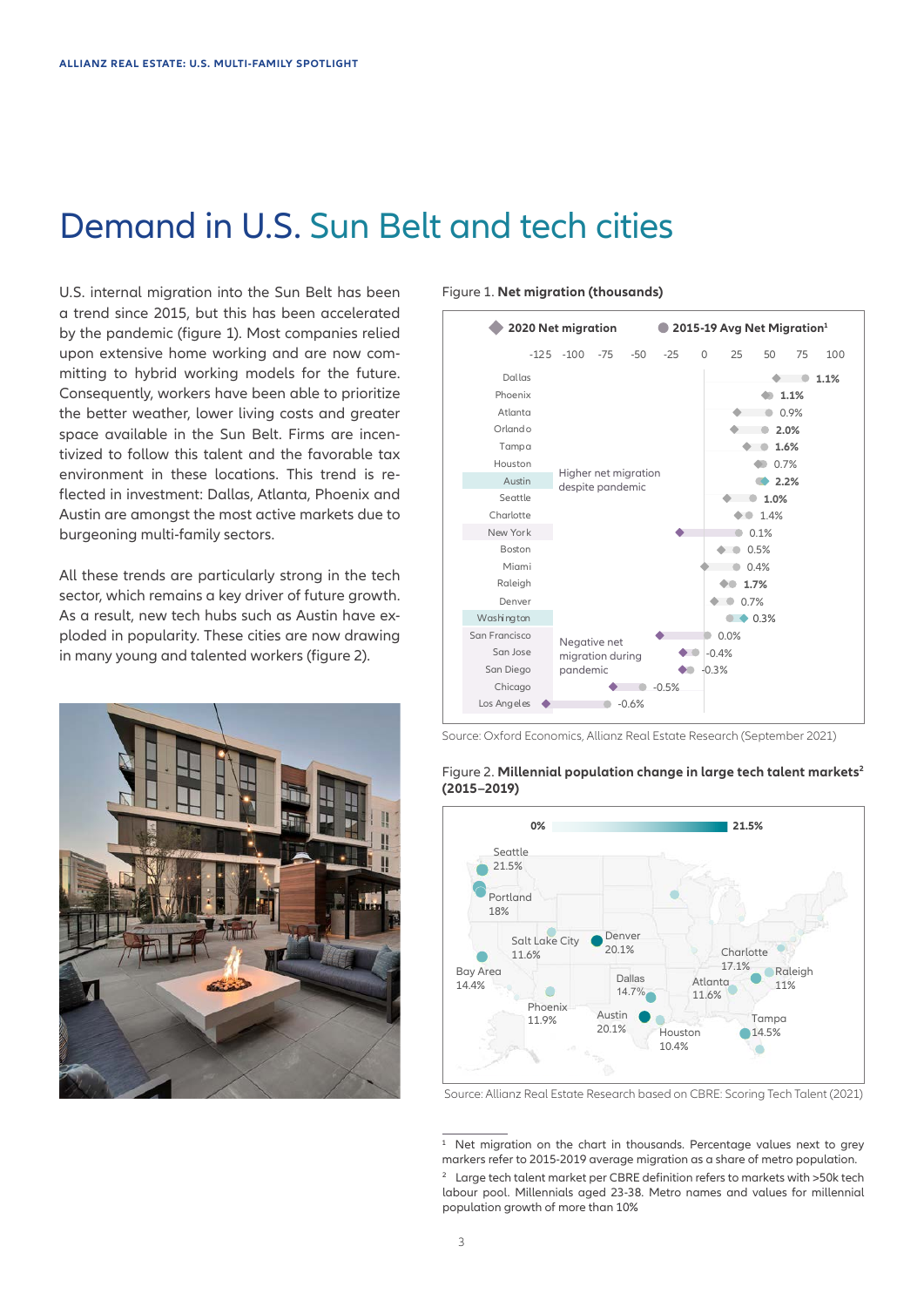### Demand in U.S. Sun Belt and tech cities

U.S. internal migration into the Sun Belt has been a trend since 2015, but this has been accelerated by the pandemic (figure 1). Most companies relied upon extensive home working and are now committing to hybrid working models for the future. Consequently, workers have been able to prioritize the better weather, lower living costs and greater space available in the Sun Belt. Firms are incentivized to follow this talent and the favorable tax environment in these locations. This trend is reflected in investment: Dallas, Atlanta, Phoenix and Austin are amongst the most active markets due to burgeoning multi-family sectors.

All these trends are particularly strong in the tech sector, which remains a key driver of future growth. As a result, new tech hubs such as Austin have exploded in popularity. These cities are now drawing in many young and talented workers (figure 2).



#### Figure 1. **Net migration (thousands)**



Source: Oxford Economics, Allianz Real Estate Research (September 2021)



### Figure 2. Millennial population change in large tech talent markets<sup>2</sup> **(2015–2019)**

Source: Allianz Real Estate Research based on CBRE: Scoring Tech Talent (2021)

<sup>2</sup> Large tech talent market per CBRE definition refers to markets with >50k tech labour pool. Millennials aged 23-38. Metro names and values for millennial population growth of more than 10% <sup>1</sup> Net migration on the chart in thousands. Percentage values next to grey markers refer to 2015-2019 average migration as a share of metro population.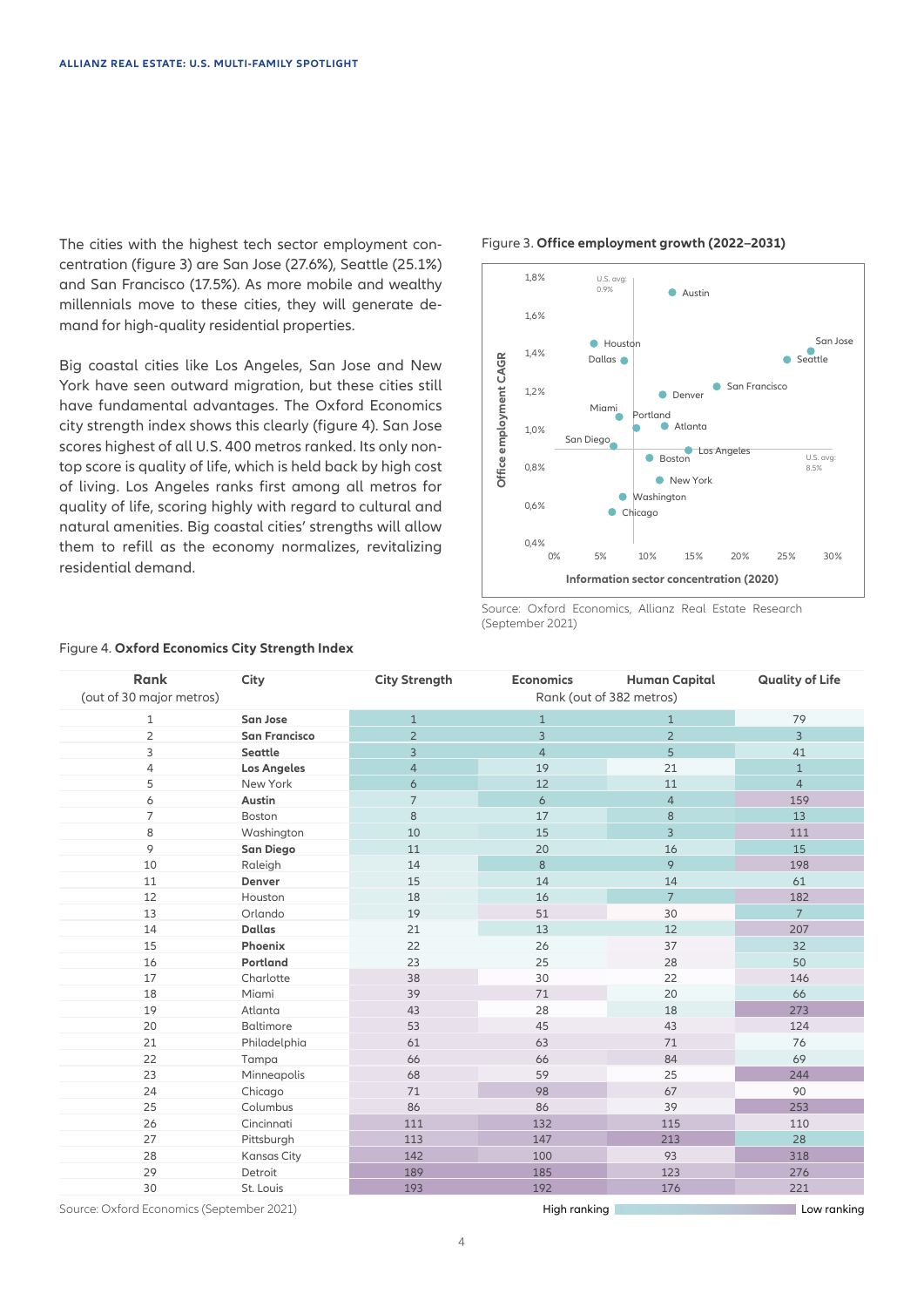The cities with the highest tech sector employment concentration (figure 3) are San Jose (27.6%), Seattle (25.1%) and San Francisco (17.5%). As more mobile and wealthy millennials move to these cities, they will generate demand for high-quality residential properties.

Big coastal cities like Los Angeles, San Jose and New York have seen outward migration, but these cities still have fundamental advantages. The Oxford Economics city strength index shows this clearly (figure 4). San Jose scores highest of all U.S. 400 metros ranked. Its only nontop score is quality of life, which is held back by high cost of living. Los Angeles ranks first among all metros for quality of life, scoring highly with regard to cultural and natural amenities. Big coastal cities' strengths will allow them to refill as the economy normalizes, revitalizing residential demand.

#### Figure 3. **Office employment growth (2022–2031)**



Source: Oxford Economics, Allianz Real Estate Research (September 2021)

| <b>Rank</b><br>(out of 30 major metros) | City                 | <b>City Strength</b> | <b>Economics</b> | <b>Human Capital</b><br>Rank (out of 382 metros) | <b>Quality of Life</b> |
|-----------------------------------------|----------------------|----------------------|------------------|--------------------------------------------------|------------------------|
| 1                                       | San Jose             | $\mathbf{1}$         | $\mathbf{1}$     | $\mathbf{1}$                                     | 79                     |
| $\overline{2}$                          | <b>San Francisco</b> | $\overline{2}$       | $\overline{3}$   | $\overline{2}$                                   | $\overline{3}$         |
| 3                                       | Seattle              | 3                    | $\overline{4}$   | 5                                                | 41                     |
| 4                                       | <b>Los Angeles</b>   | $\overline{4}$       | 19               | 21                                               | $\mathbf{1}$           |
| 5                                       | New York             | 6                    | 12               | 11                                               | $\overline{4}$         |
| 6                                       | Austin               | $\overline{7}$       | 6                | $\overline{4}$                                   | 159                    |
| $\overline{7}$                          | Boston               | 8                    | 17               | $\boldsymbol{8}$                                 | 13                     |
| 8                                       | Washington           | 10                   | 15               | 3                                                | 111                    |
| 9                                       | San Diego            | 11                   | 20               | 16                                               | 15                     |
| 10                                      | Raleigh              | 14                   | 8                | 9                                                | 198                    |
| 11                                      | Denver               | 15                   | 14               | 14                                               | 61                     |
| 12                                      | Houston              | 18                   | 16               | $\overline{7}$                                   | 182                    |
| 13                                      | Orlando              | 19                   | 51               | 30                                               | $\overline{7}$         |
| 14                                      | <b>Dallas</b>        | 21                   | 13               | 12                                               | 207                    |
| 15                                      | Phoenix              | 22                   | 26               | 37                                               | 32                     |
| 16                                      | Portland             | 23                   | 25               | 28                                               | 50                     |
| 17                                      | Charlotte            | 38                   | 30               | 22                                               | 146                    |
| 18                                      | Miami                | 39                   | 71               | 20                                               | 66                     |
| 19                                      | Atlanta              | 43                   | 28               | 18                                               | 273                    |
| 20                                      | Baltimore            | 53                   | 45               | 43                                               | 124                    |
| 21                                      | Philadelphia         | 61                   | 63               | 71                                               | 76                     |
| 22                                      | Tampa                | 66                   | 66               | 84                                               | 69                     |
| 23                                      | Minneapolis          | 68                   | 59               | 25                                               | 244                    |
| 24                                      | Chicago              | 71                   | 98               | 67                                               | 90                     |
| 25                                      | Columbus             | 86                   | 86               | 39                                               | 253                    |
| 26                                      | Cincinnati           | 111                  | 132              | 115                                              | 110                    |
| 27                                      | Pittsburgh           | 113                  | 147              | 213                                              | 28                     |
| 28                                      | <b>Kansas City</b>   | 142                  | 100              | 93                                               | 318                    |
| 29                                      | Detroit              | 189                  | 185              | 123                                              | 276                    |
| 30                                      | St. Louis            | 193                  | 192              | 176                                              | 221                    |

### Figure 4. **Oxford Economics City Strength Index**

Source: Oxford Economics (September 2021)

High ranking Low ranking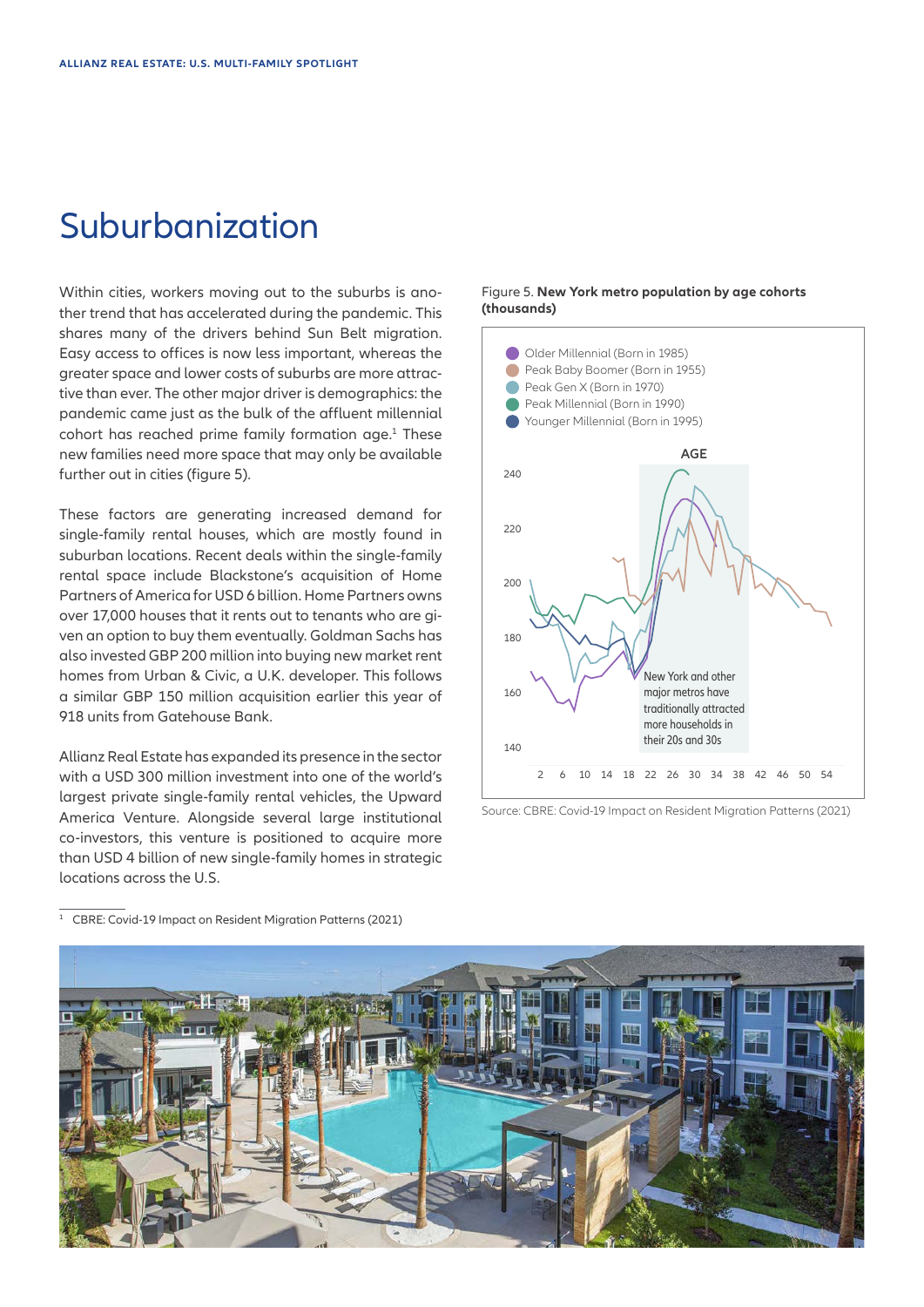### Suburbanization

Within cities, workers moving out to the suburbs is another trend that has accelerated during the pandemic. This shares many of the drivers behind Sun Belt migration. Easy access to offices is now less important, whereas the greater space and lower costs of suburbs are more attractive than ever. The other major driver is demographics: the pandemic came just as the bulk of the affluent millennial cohort has reached prime family formation age.<sup>1</sup> These new families need more space that may only be available further out in cities (figure 5).

These factors are generating increased demand for single-family rental houses, which are mostly found in suburban locations. Recent deals within the single-family rental space include Blackstone's acquisition of Home Partners of America for USD 6 billion. Home Partners owns over 17,000 houses that it rents out to tenants who are given an option to buy them eventually. Goldman Sachs has also invested GBP 200 million into buying new market rent homes from Urban & Civic, a U.K. developer. This follows a similar GBP 150 million acquisition earlier this year of 918 units from Gatehouse Bank.

Allianz Real Estate has expanded its presence in the sector with a USD 300 million investment into one of the world's largest private single-family rental vehicles, the Upward America Venture. Alongside several large institutional co-investors, this venture is positioned to acquire more than USD 4 billion of new single-family homes in strategic locations across the U.S.

### Figure 5. **New York metro population by age cohorts (thousands)**



Source: CBRE: Covid-19 Impact on Resident Migration Patterns (2021)

<sup>1</sup> CBRE: Covid-19 Impact on Resident Migration Patterns (2021)

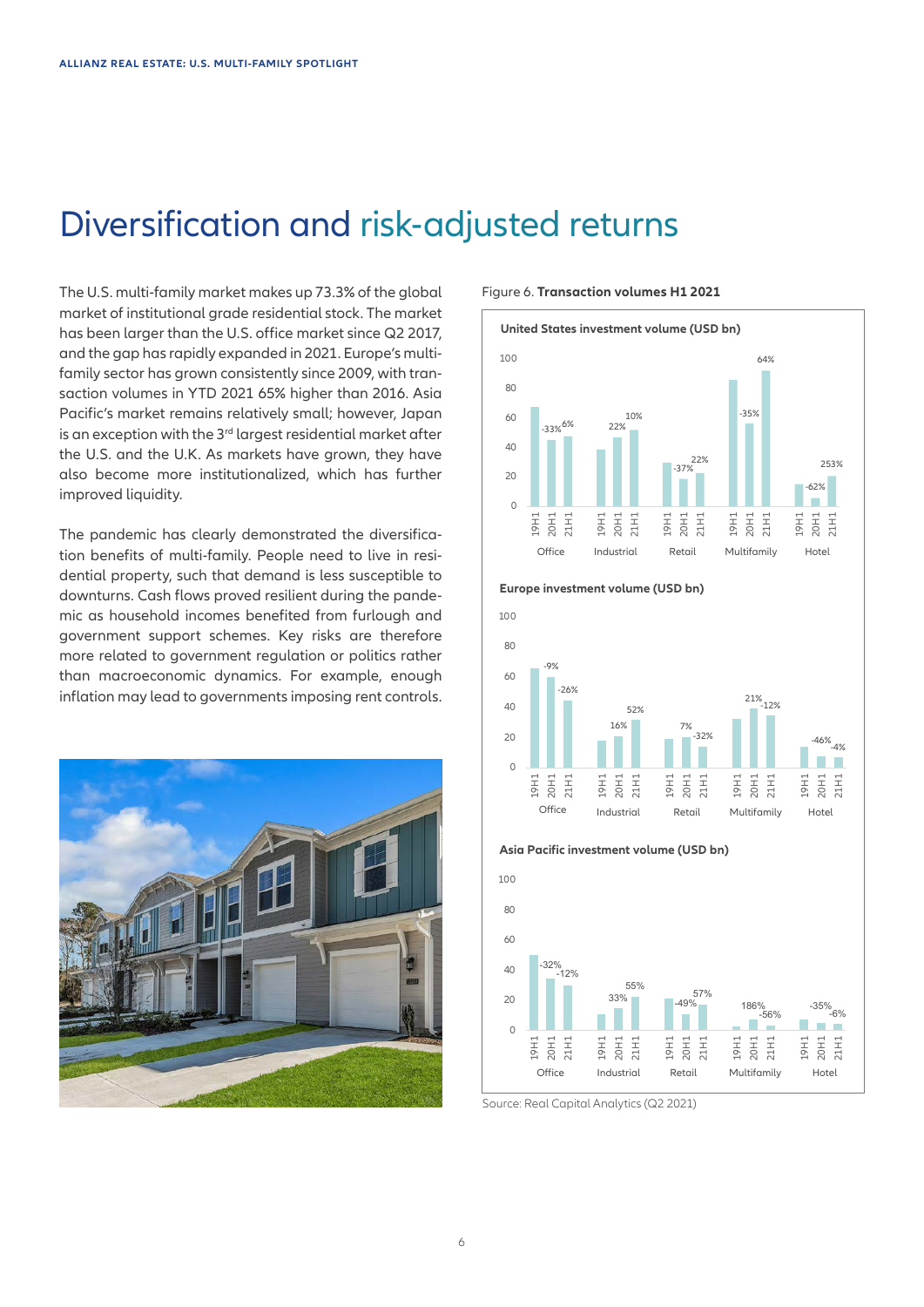### Diversification and risk-adjusted returns

The U.S. multi-family market makes up 73.3% of the global market of institutional grade residential stock. The market has been larger than the U.S. office market since Q2 2017, and the gap has rapidly expanded in 2021. Europe's multifamily sector has grown consistently since 2009, with transaction volumes in YTD 2021 65% higher than 2016. Asia Pacific's market remains relatively small; however, Japan is an exception with the 3<sup>rd</sup> largest residential market after the U.S. and the U.K. As markets have grown, they have also become more institutionalized, which has further improved liquidity.

The pandemic has clearly demonstrated the diversification benefits of multi-family. People need to live in residential property, such that demand is less susceptible to downturns. Cash flows proved resilient during the pandemic as household incomes benefited from furlough and government support schemes. Key risks are therefore more related to government regulation or politics rather than macroeconomic dynamics. For example, enough inflation may lead to governments imposing rent controls.



Figure 6. **Transaction volumes H1 2021**











Source: Real Capital Analytics (Q2 2021)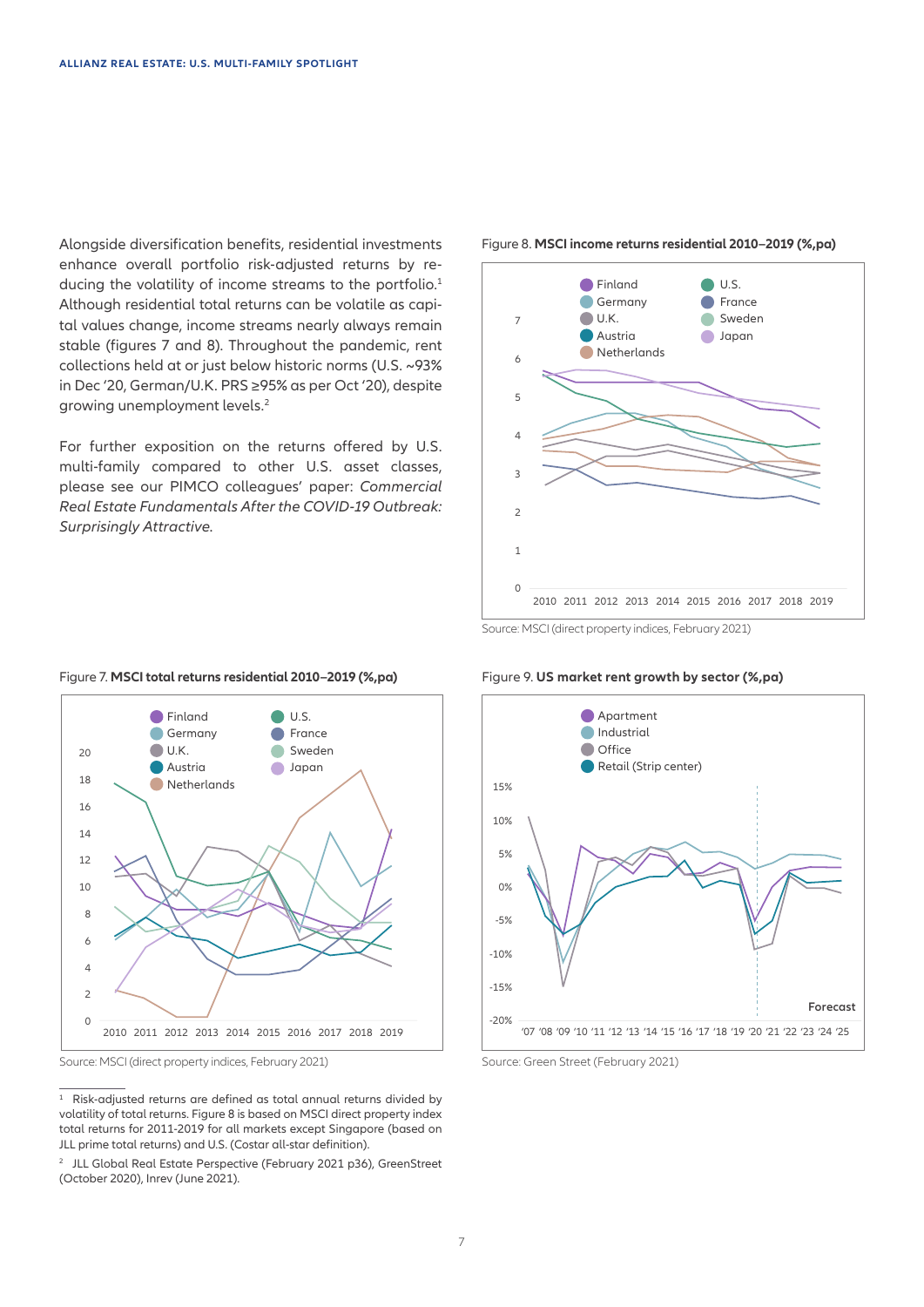Alongside diversification benefits, residential investments enhance overall portfolio risk-adjusted returns by reducing the volatility of income streams to the portfolio.<sup>1</sup> Although residential total returns can be volatile as capital values change, income streams nearly always remain stable (figures 7 and 8). Throughout the pandemic, rent collections held at or just below historic norms (U.S. ~93% in Dec '20, German/U.K. PRS ≥95% as per Oct '20), despite growing unemployment levels.<sup>2</sup>

For further exposition on the returns offered by U.S. multi-family compared to other U.S. asset classes, please see our PIMCO colleagues' paper: *Commercial Real Estate Fundamentals After the COVID-19 Outbreak: Surprisingly Attractive.*



#### Figure 8. **MSCI income returns residential 2010–2019 (%,pa)**

Source: MSCI (direct property indices, February 2021)

### **Finland**  $\blacksquare$ **France** Germany  $\bigcirc$  U.K. Sweden 20 **Austria** Japan 18 **Netherlands** 16 14 12 10 8 6 4 2  $\Omega$ 2010 2011 2012 2013 2014 2015 2016 2017 2018 2019

Figure 7. **MSCI total returns residential 2010–2019 (%,pa)**

Source: MSCI (direct property indices, February 2021) Source: Green Street (February 2021)

<sup>1</sup> Risk-adjusted returns are defined as total annual returns divided by volatility of total returns. Figure 8 is based on MSCI direct property index total returns for 2011-2019 for all markets except Singapore (based on JLL prime total returns) and U.S. (Costar all-star definition).

<sup>2</sup> JLL Global Real Estate Perspective (February 2021 p36), GreenStreet (October 2020), Inrev (June 2021).

### Figure 9. **US market rent growth by sector (%,pa)**

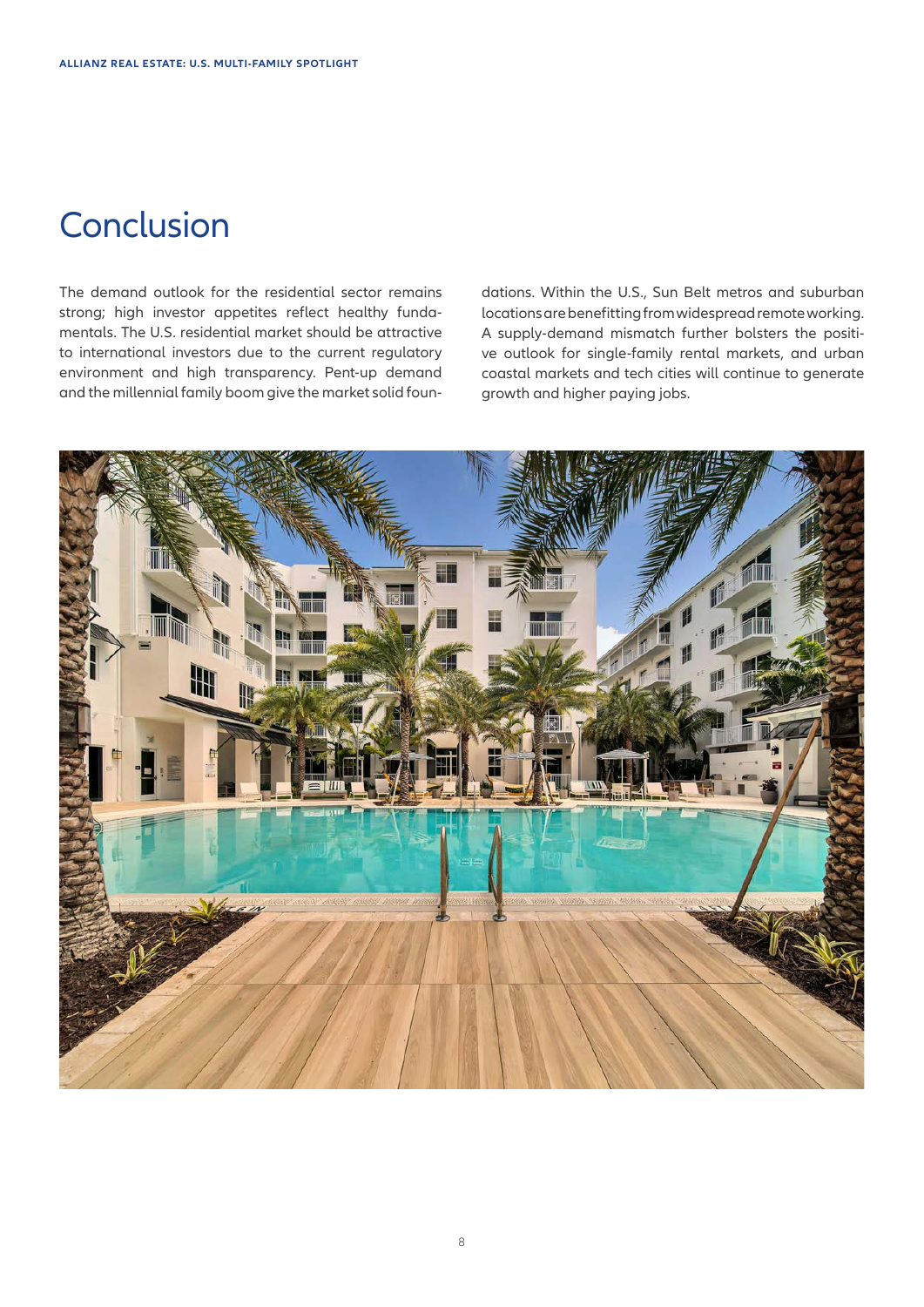## **Conclusion**

The demand outlook for the residential sector remains strong; high investor appetites reflect healthy fundamentals. The U.S. residential market should be attractive to international investors due to the current regulatory environment and high transparency. Pent-up demand and the millennial family boom give the market solid foundations. Within the U.S., Sun Belt metros and suburban locations are benefitting from widespread remote working. A supply-demand mismatch further bolsters the positive outlook for single-family rental markets, and urban coastal markets and tech cities will continue to generate growth and higher paying jobs.